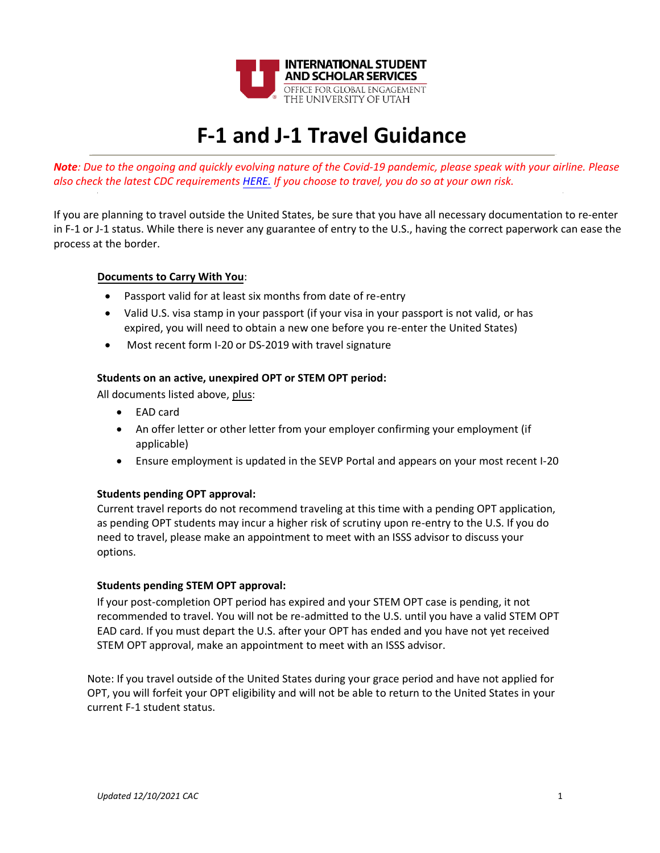

# **F-1 and J-1 Travel Guidance**

*Note: Due to the ongoing and quickly evolving nature of the Covid-19 pandemic, please speak with your airline. Please also check the latest CDC requirement[s HERE.](https://www.cdc.gov/coronavirus/2019-ncov/travelers/proof-of-vaccination.html) If you choose [to travel](https://www.cdc.gov/coronavirus/2019-ncov/travelers/proof-of-vaccination.html), you do so at your own risk.* 

If you are planning to travel outside the United States, be sure that you have all necessary documentation to re-enter in F-1 or J-1 status. While there is never any guarantee of entry to the U.S., having the correct paperwork can ease the process at the border.

## **Documents to Carry With You**:

- Passport valid for at least six months from date of re-entry
- Valid U.S. visa stamp in your passport (if your visa in your passport is not valid, or has expired, you will need to obtain a new one before you re-enter the United States)
- Most recent form I-20 or DS-2019 with travel signature

## **Students on an active, unexpired OPT or STEM OPT period:**

All documents listed above, plus:

- EAD card
- An offer letter or other letter from your employer confirming your employment (if applicable)
- Ensure employment is updated in the SEVP Portal and appears on your most recent I-20

### **Students pending OPT approval:**

Current travel reports do not recommend traveling at this time with a pending OPT application, as pending OPT students may incur a higher risk of scrutiny upon re-entry to the U.S. If you do need to travel, please make an appointment to meet with an ISSS advisor to discuss your options.

### **Students pending STEM OPT approval:**

If your post-completion OPT period has expired and your STEM OPT case is pending, it not recommended to travel. You will not be re-admitted to the U.S. until you have a valid STEM OPT EAD card. If you must depart the U.S. after your OPT has ended and you have not yet received STEM OPT approval, make an appointment to meet with an ISSS advisor.

Note: If you travel outside of the United States during your grace period and have not applied for OPT, you will forfeit your OPT eligibility and will not be able to return to the United States in your current F-1 student status.